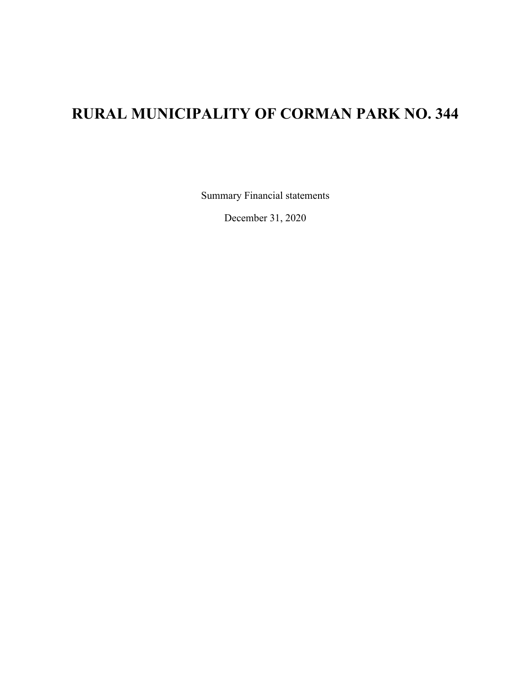## **RURAL MUNICIPALITY OF CORMAN PARK NO. 344**

Summary Financial statements

December 31, 2020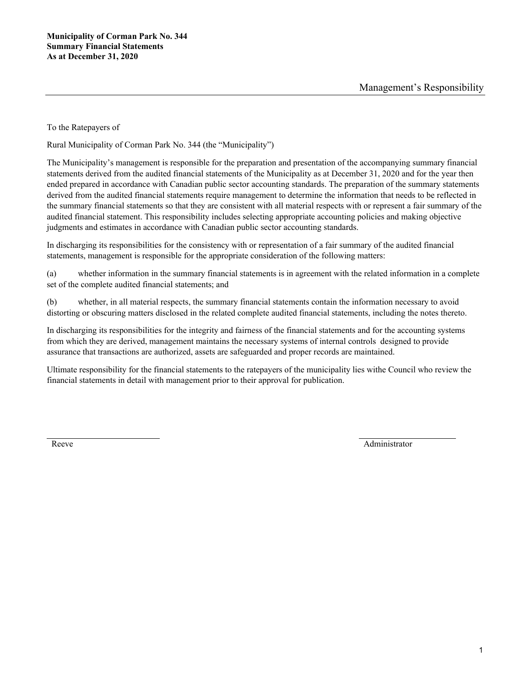To the Ratepayers of

Rural Municipality of Corman Park No. 344 (the "Municipality")

The Municipality's management is responsible for the preparation and presentation of the accompanying summary financial statements derived from the audited financial statements of the Municipality as at December 31, 2020 and for the year then ended prepared in accordance with Canadian public sector accounting standards. The preparation of the summary statements derived from the audited financial statements require management to determine the information that needs to be reflected in the summary financial statements so that they are consistent with all material respects with or represent a fair summary of the audited financial statement. This responsibility includes selecting appropriate accounting policies and making objective judgments and estimates in accordance with Canadian public sector accounting standards.

In discharging its responsibilities for the consistency with or representation of a fair summary of the audited financial statements, management is responsible for the appropriate consideration of the following matters:

(a) whether information in the summary financial statements is in agreement with the related information in a complete set of the complete audited financial statements; and

(b) whether, in all material respects, the summary financial statements contain the information necessary to avoid distorting or obscuring matters disclosed in the related complete audited financial statements, including the notes thereto.

In discharging its responsibilities for the integrity and fairness of the financial statements and for the accounting systems from which they are derived, management maintains the necessary systems of internal controls designed to provide assurance that transactions are authorized, assets are safeguarded and proper records are maintained.

Ultimate responsibility for the financial statements to the ratepayers of the municipality lies withe Council who review the financial statements in detail with management prior to their approval for publication.

Reeve Administrator Administrator Administrator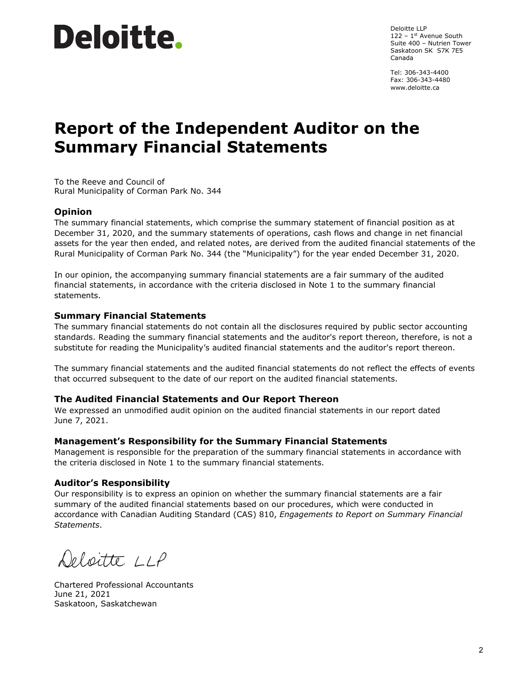# Deloitte.

Deloitte LLP  $122 - 1$ <sup>st</sup> Avenue South Suite 400 – Nutrien Tower Saskatoon SK S7K 7E5 Canada

Tel: 306-343-4400 Fax: 306-343-4480 www.deloitte.ca

# **Report of the Independent Auditor on the Summary Financial Statements**

To the Reeve and Council of Rural Municipality of Corman Park No. 344

### **Opinion**

The summary financial statements, which comprise the summary statement of financial position as at December 31, 2020, and the summary statements of operations, cash flows and change in net financial assets for the year then ended, and related notes, are derived from the audited financial statements of the Rural Municipality of Corman Park No. 344 (the "Municipality") for the year ended December 31, 2020.

In our opinion, the accompanying summary financial statements are a fair summary of the audited financial statements, in accordance with the criteria disclosed in Note 1 to the summary financial statements.

#### **Summary Financial Statements**

The summary financial statements do not contain all the disclosures required by public sector accounting standards. Reading the summary financial statements and the auditor's report thereon, therefore, is not a substitute for reading the Municipality's audited financial statements and the auditor's report thereon.

The summary financial statements and the audited financial statements do not reflect the effects of events that occurred subsequent to the date of our report on the audited financial statements.

#### **The Audited Financial Statements and Our Report Thereon**

We expressed an unmodified audit opinion on the audited financial statements in our report dated June 7, 2021.

#### **Management's Responsibility for the Summary Financial Statements**

Management is responsible for the preparation of the summary financial statements in accordance with the criteria disclosed in Note 1 to the summary financial statements.

#### **Auditor's Responsibility**

Our responsibility is to express an opinion on whether the summary financial statements are a fair summary of the audited financial statements based on our procedures, which were conducted in accordance with Canadian Auditing Standard (CAS) 810, *Engagements to Report on Summary Financial Statements*.

Deloitte LLP

Chartered Professional Accountants June 21, 2021 Saskatoon, Saskatchewan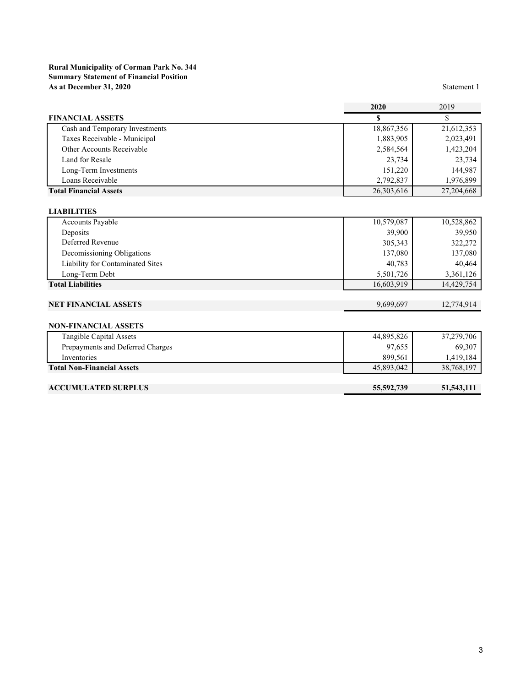#### **Rural Municipality of Corman Park No. 344 Summary Statement of Financial Position As at December 31, 2020** Statement 1

|                                  | 2020       | 2019       |
|----------------------------------|------------|------------|
| <b>FINANCIAL ASSETS</b>          |            |            |
| Cash and Temporary Investments   | 18,867,356 | 21,612,353 |
| Taxes Receivable - Municipal     | 1,883,905  | 2,023,491  |
| Other Accounts Receivable        | 2,584,564  | 1,423,204  |
| Land for Resale                  | 23,734     | 23,734     |
| Long-Term Investments            | 151,220    | 144,987    |
| Loans Receivable                 | 2,792,837  | 1,976,899  |
| <b>Total Financial Assets</b>    | 26,303,616 | 27,204,668 |
|                                  |            |            |
| <b>LIABILITIES</b>               |            |            |
| Accounts Payable                 | 10,579,087 | 10,528,862 |
| Deposits                         | 39,900     | 39,950     |
| Deferred Revenue                 | 305,343    | 322,272    |
| Decomissioning Obligations       | 137,080    | 137,080    |
| Liability for Contaminated Sites | 40,783     | 40,464     |

## **NET FINANCIAL ASSETS** 9,699,697 12,774,914

#### **NON-FINANCIAL ASSETS**

| Tangible Capital Assets           | 44,895,826 | 37,279,706 |
|-----------------------------------|------------|------------|
| Prepayments and Deferred Charges  | 97,655     | 69,307     |
| Inventories                       | 899.561    | 1.419.184  |
| <b>Total Non-Financial Assets</b> | 45,893,042 | 38,768,197 |
|                                   |            |            |

Long-Term Debt 5,501,726 3,361,126 **Total Liabilities** 16,603,919 14,429,754

#### **ACCUMULATED SURPLUS 55,592,739 51,543,111**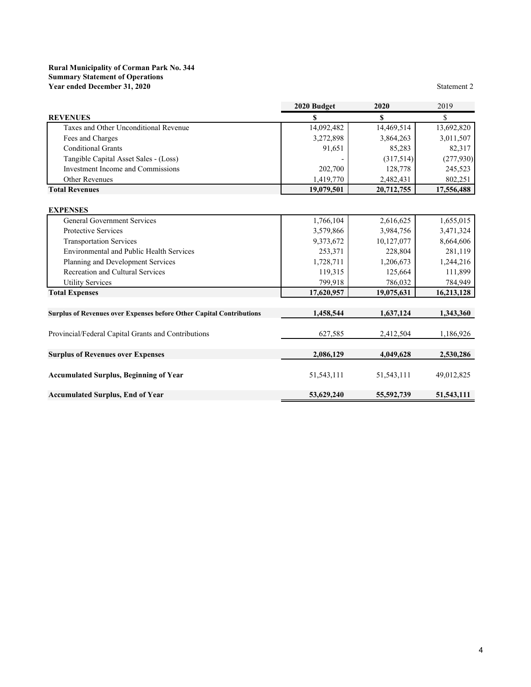#### **Rural Municipality of Corman Park No. 344 Summary Statement of Operations Year ended December 31, 2020** Statement 2

|                                                                                   | 2020 Budget  | 2020         | 2019                   |
|-----------------------------------------------------------------------------------|--------------|--------------|------------------------|
| <b>REVENUES</b>                                                                   | \$           | S            | \$                     |
| Taxes and Other Unconditional Revenue                                             | 14,092,482   | 14,469,514   | 13,692,820             |
| Fees and Charges                                                                  | 3,272,898    | 3,864,263    | 3,011,507              |
| <b>Conditional Grants</b>                                                         | 91,651       | 85,283       | 82,317                 |
| Tangible Capital Asset Sales - (Loss)                                             |              | (317,514)    | (277, 930)             |
| Investment Income and Commissions                                                 | 202,700      | 128,778      | 245,523                |
| <b>Other Revenues</b>                                                             | 1,419,770    | 2,482,431    | 802,251                |
| <b>Total Revenues</b>                                                             | 19,079,501   | 20,712,755   | 17,556,488             |
|                                                                                   |              |              |                        |
| <b>EXPENSES</b><br><b>General Government Services</b>                             | 1,766,104    | 2,616,625    |                        |
| Protective Services                                                               |              | 3,984,756    | 1,655,015<br>3,471,324 |
|                                                                                   | 3,579,866    |              |                        |
| <b>Transportation Services</b><br><b>Environmental and Public Health Services</b> | 9,373,672    | 10,127,077   | 8,664,606              |
|                                                                                   | 253,371      | 228,804      | 281,119                |
| Planning and Development Services                                                 | 1,728,711    | 1,206,673    | 1,244,216              |
| Recreation and Cultural Services                                                  | 119,315      | 125,664      | 111,899                |
| <b>Utility Services</b>                                                           | 799,918      | 786,032      | 784,949                |
| <b>Total Expenses</b>                                                             | 17,620,957   | 19,075,631   | 16,213,128             |
| <b>Surplus of Revenues over Expenses before Other Capital Contributions</b>       | 1,458,544    | 1,637,124    | 1,343,360              |
| Provincial/Federal Capital Grants and Contributions                               | 627,585      | 2,412,504    | 1,186,926              |
| <b>Surplus of Revenues over Expenses</b>                                          | 2,086,129    | 4,049,628    | 2,530,286              |
|                                                                                   |              |              |                        |
| <b>Accumulated Surplus, Beginning of Year</b>                                     | 51, 543, 111 | 51, 543, 111 | 49,012,825             |
| <b>Accumulated Surplus, End of Year</b>                                           | 53,629,240   | 55,592,739   | 51,543,111             |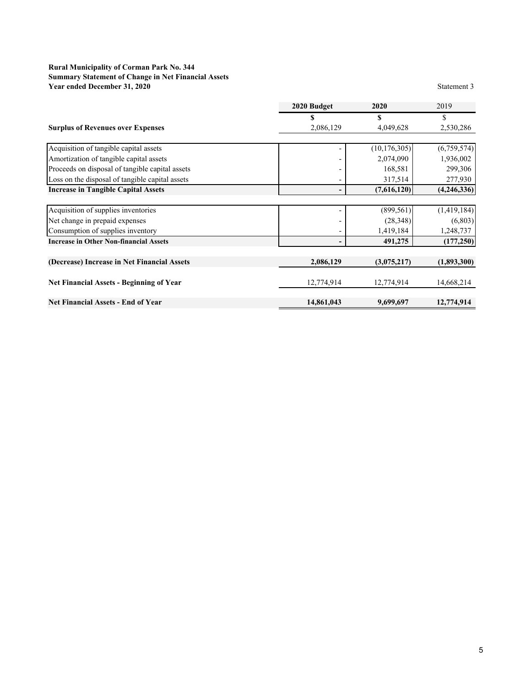#### **Rural Municipality of Corman Park No. 344 Summary Statement of Change in Net Financial Assets Year ended December 31, 2020** Statement 3

|                                                 | 2020 Budget | 2020           | 2019        |
|-------------------------------------------------|-------------|----------------|-------------|
|                                                 |             | \$             |             |
| <b>Surplus of Revenues over Expenses</b>        | 2,086,129   | 4,049,628      | 2,530,286   |
|                                                 |             |                |             |
| Acquisition of tangible capital assets          |             | (10, 176, 305) | (6,759,574) |
| Amortization of tangible capital assets         |             | 2,074,090      | 1,936,002   |
| Proceeds on disposal of tangible capital assets |             | 168,581        | 299,306     |
| Loss on the disposal of tangible capital assets |             | 317,514        | 277,930     |
| <b>Increase in Tangible Capital Assets</b>      |             | (7,616,120)    | (4,246,336) |
|                                                 |             |                |             |
| Acquisition of supplies inventories             |             | (899, 561)     | (1,419,184) |
| Net change in prepaid expenses                  |             | (28, 348)      | (6,803)     |
| Consumption of supplies inventory               |             | 1,419,184      | 1,248,737   |
| <b>Increase in Other Non-financial Assets</b>   |             | 491,275        | (177, 250)  |
|                                                 |             |                |             |
| (Decrease) Increase in Net Financial Assets     | 2,086,129   | (3,075,217)    | (1,893,300) |
| Net Financial Assets - Beginning of Year        | 12,774,914  | 12,774,914     | 14,668,214  |
| <b>Net Financial Assets - End of Year</b>       | 14,861,043  | 9,699,697      | 12,774,914  |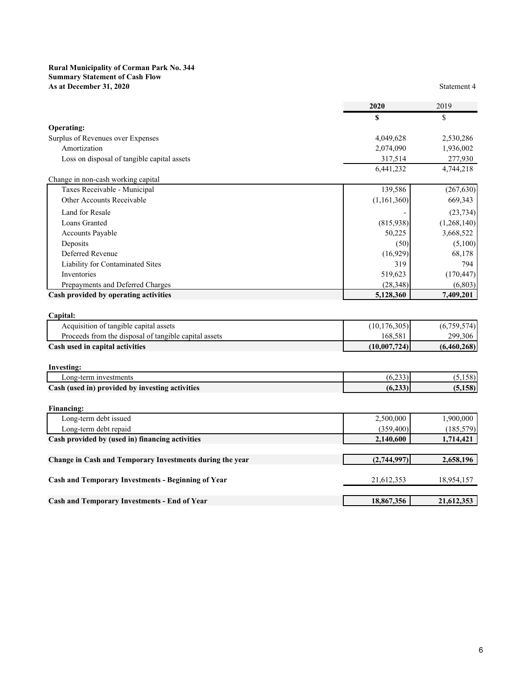#### **Rural Municipality of Corman Park No. 344 Summary Statement of Cash Flow As at December 31, 2020** Statement 4

|                                             | S           | \$          |
|---------------------------------------------|-------------|-------------|
| <b>Operating:</b>                           |             |             |
| Surplus of Revenues over Expenses           | 4,049,628   | 2,530,286   |
| Amortization                                | 2,074,090   | 1,936,002   |
| Loss on disposal of tangible capital assets | 317,514     | 277,930     |
|                                             | 6,441,232   | 4,744,218   |
| Change in non-cash working capital          |             |             |
| Taxes Receivable - Municipal                | 139,586     | (267, 630)  |
| Other Accounts Receivable                   | (1,161,360) | 669,343     |
| Land for Resale                             |             | (23, 734)   |
| Loans Granted                               | (815,938)   | (1,268,140) |
| <b>Accounts Payable</b>                     | 50,225      | 3,668,522   |
| Deposits                                    | (50)        | (5,100)     |
| Deferred Revenue                            | (16,929)    | 68,178      |
| Liability for Contaminated Sites            | 319         | 794         |
| Inventories                                 | 519,623     | (170, 447)  |
| Prepayments and Deferred Charges            | (28, 348)   | (6,803)     |
| Cash provided by operating activities       | 5,128,360   | 7,409,201   |
|                                             |             |             |
|                                             |             |             |

| Capital:                                              |                |             |
|-------------------------------------------------------|----------------|-------------|
| Acquisition of tangible capital assets                | (10, 176, 305) | (6,759,574) |
| Proceeds from the disposal of tangible capital assets | 168.581        | 299,306     |
| Cash used in capital activities                       | (10.007, 724)  | (6,460,268) |

| Investing:                                      |                 |               |
|-------------------------------------------------|-----------------|---------------|
| Long-term investments                           | (2.22)<br>16.23 | <b>J.IJOI</b> |
| Cash (used in) provided by investing activities | (6.233)         | (5.158)       |
|                                                 |                 |               |

| Financing:                                               |             |            |
|----------------------------------------------------------|-------------|------------|
| Long-term debt issued                                    | 2,500,000   | 1,900,000  |
| Long-term debt repaid                                    | (359, 400)  | (185, 579) |
| Cash provided by (used in) financing activities          | 2,140,600   | 1,714,421  |
|                                                          |             |            |
| Change in Cash and Temporary Investments during the year | (2,744,997) | 2,658,196  |
|                                                          |             |            |
| Cash and Temporary Investments - Beginning of Year       | 21,612,353  | 18,954,157 |
|                                                          |             |            |
| <b>Cash and Temporary Investments - End of Year</b>      | 18,867,356  | 21,612,353 |
|                                                          |             |            |

**2020** 2019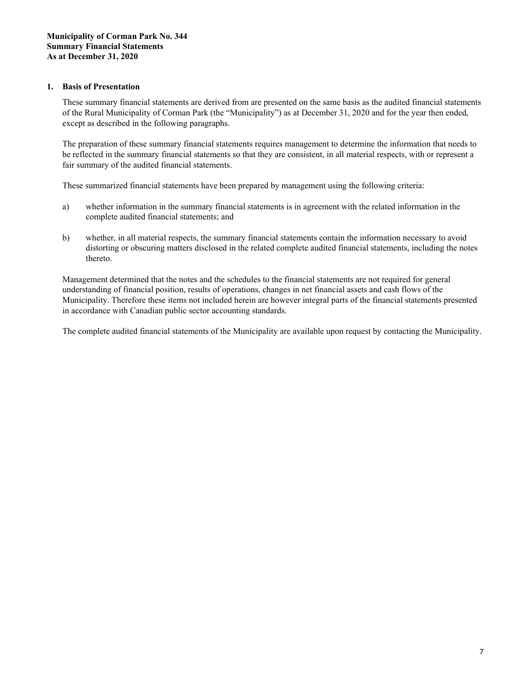#### **1. Basis of Presentation**

These summary financial statements are derived from are presented on the same basis as the audited financial statements of the Rural Municipality of Corman Park (the "Municipality") as at December 31, 2020 and for the year then ended, except as described in the following paragraphs.

The preparation of these summary financial statements requires management to determine the information that needs to be reflected in the summary financial statements so that they are consistent, in all material respects, with or represent a fair summary of the audited financial statements.

These summarized financial statements have been prepared by management using the following criteria:

- a) whether information in the summary financial statements is in agreement with the related information in the complete audited financial statements; and
- b) whether, in all material respects, the summary financial statements contain the information necessary to avoid distorting or obscuring matters disclosed in the related complete audited financial statements, including the notes thereto.

Management determined that the notes and the schedules to the financial statements are not required for general understanding of financial position, results of operations, changes in net financial assets and cash flows of the Municipality. Therefore these items not included herein are however integral parts of the financial statements presented in accordance with Canadian public sector accounting standards.

The complete audited financial statements of the Municipality are available upon request by contacting the Municipality.